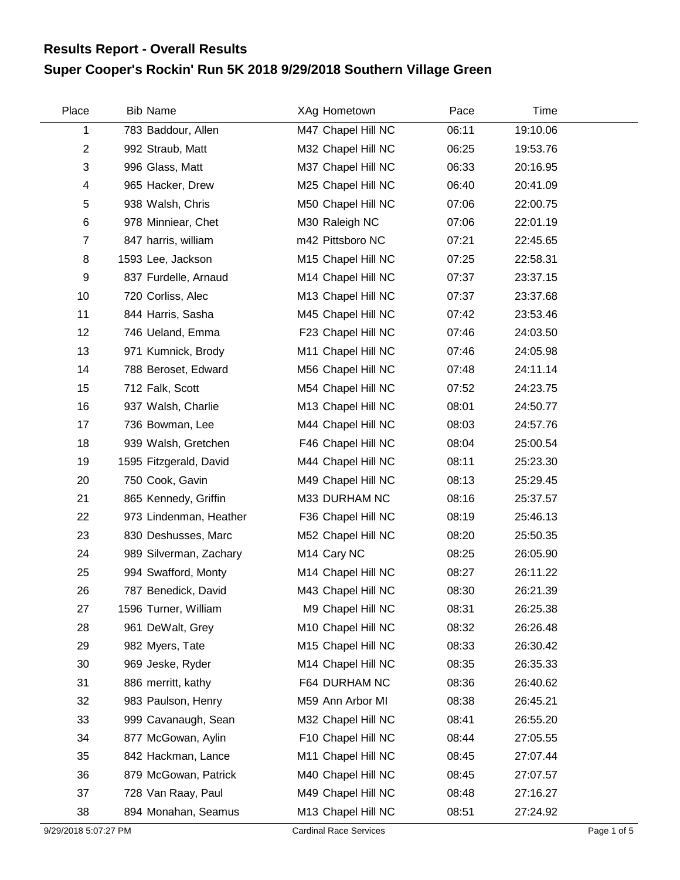## **Super Cooper's Rockin' Run 5K 2018 9/29/2018 Southern Village Green Results Report - Overall Results**

| Place          | <b>Bib Name</b>        | XAg Hometown            | Pace  | Time     |  |
|----------------|------------------------|-------------------------|-------|----------|--|
| 1              | 783 Baddour, Allen     | M47 Chapel Hill NC      | 06:11 | 19:10.06 |  |
| $\overline{2}$ | 992 Straub, Matt       | M32 Chapel Hill NC      | 06:25 | 19:53.76 |  |
| $\sqrt{3}$     | 996 Glass, Matt        | M37 Chapel Hill NC      | 06:33 | 20:16.95 |  |
| $\overline{4}$ | 965 Hacker, Drew       | M25 Chapel Hill NC      | 06:40 | 20:41.09 |  |
| 5              | 938 Walsh, Chris       | M50 Chapel Hill NC      | 07:06 | 22:00.75 |  |
| 6              | 978 Minniear, Chet     | M30 Raleigh NC          | 07:06 | 22:01.19 |  |
| $\overline{7}$ | 847 harris, william    | m42 Pittsboro NC        | 07:21 | 22:45.65 |  |
| 8              | 1593 Lee, Jackson      | M15 Chapel Hill NC      | 07:25 | 22:58.31 |  |
| 9              | 837 Furdelle, Arnaud   | M14 Chapel Hill NC      | 07:37 | 23:37.15 |  |
| 10             | 720 Corliss, Alec      | M13 Chapel Hill NC      | 07:37 | 23:37.68 |  |
| 11             | 844 Harris, Sasha      | M45 Chapel Hill NC      | 07:42 | 23:53.46 |  |
| 12             | 746 Ueland, Emma       | F23 Chapel Hill NC      | 07:46 | 24:03.50 |  |
| 13             | 971 Kumnick, Brody     | M11 Chapel Hill NC      | 07:46 | 24:05.98 |  |
| 14             | 788 Beroset, Edward    | M56 Chapel Hill NC      | 07:48 | 24:11.14 |  |
| 15             | 712 Falk, Scott        | M54 Chapel Hill NC      | 07:52 | 24:23.75 |  |
| 16             | 937 Walsh, Charlie     | M13 Chapel Hill NC      | 08:01 | 24:50.77 |  |
| 17             | 736 Bowman, Lee        | M44 Chapel Hill NC      | 08:03 | 24:57.76 |  |
| 18             | 939 Walsh, Gretchen    | F46 Chapel Hill NC      | 08:04 | 25:00.54 |  |
| 19             | 1595 Fitzgerald, David | M44 Chapel Hill NC      | 08:11 | 25:23.30 |  |
| 20             | 750 Cook, Gavin        | M49 Chapel Hill NC      | 08:13 | 25:29.45 |  |
| 21             | 865 Kennedy, Griffin   | M33 DURHAM NC           | 08:16 | 25:37.57 |  |
| 22             | 973 Lindenman, Heather | F36 Chapel Hill NC      | 08:19 | 25:46.13 |  |
| 23             | 830 Deshusses, Marc    | M52 Chapel Hill NC      | 08:20 | 25:50.35 |  |
| 24             | 989 Silverman, Zachary | M <sub>14</sub> Cary NC | 08:25 | 26:05.90 |  |
| 25             | 994 Swafford, Monty    | M14 Chapel Hill NC      | 08:27 | 26:11.22 |  |
| 26             | 787 Benedick, David    | M43 Chapel Hill NC      | 08:30 | 26:21.39 |  |
| 27             | 1596 Turner, William   | M9 Chapel Hill NC       | 08:31 | 26:25.38 |  |
| 28             | 961 DeWalt, Grey       | M10 Chapel Hill NC      | 08:32 | 26:26.48 |  |
| 29             | 982 Myers, Tate        | M15 Chapel Hill NC      | 08:33 | 26:30.42 |  |
| 30             | 969 Jeske, Ryder       | M14 Chapel Hill NC      | 08:35 | 26:35.33 |  |
| 31             | 886 merritt, kathy     | F64 DURHAM NC           | 08:36 | 26:40.62 |  |
| 32             | 983 Paulson, Henry     | M59 Ann Arbor MI        | 08:38 | 26:45.21 |  |
| 33             | 999 Cavanaugh, Sean    | M32 Chapel Hill NC      | 08:41 | 26:55.20 |  |
| 34             | 877 McGowan, Aylin     | F10 Chapel Hill NC      | 08:44 | 27:05.55 |  |
| 35             | 842 Hackman, Lance     | M11 Chapel Hill NC      | 08:45 | 27:07.44 |  |
| 36             | 879 McGowan, Patrick   | M40 Chapel Hill NC      | 08:45 | 27:07.57 |  |
| 37             | 728 Van Raay, Paul     | M49 Chapel Hill NC      | 08:48 | 27:16.27 |  |
| 38             | 894 Monahan, Seamus    | M13 Chapel Hill NC      | 08:51 | 27:24.92 |  |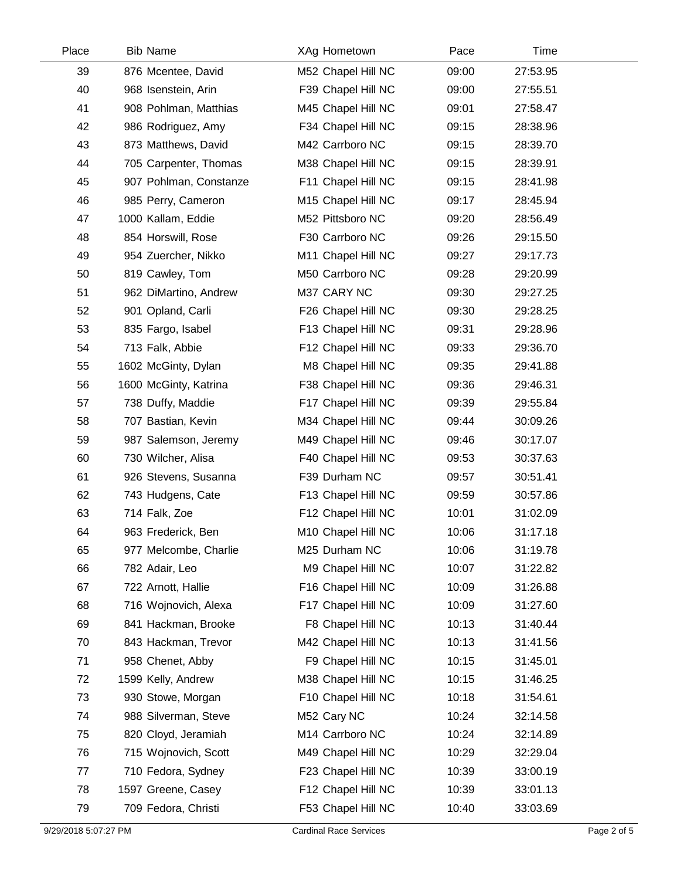| Place | <b>Bib Name</b>        | XAg Hometown       | Pace  | Time     |  |
|-------|------------------------|--------------------|-------|----------|--|
| 39    | 876 Mcentee, David     | M52 Chapel Hill NC | 09:00 | 27:53.95 |  |
| 40    | 968 Isenstein, Arin    | F39 Chapel Hill NC | 09:00 | 27:55.51 |  |
| 41    | 908 Pohlman, Matthias  | M45 Chapel Hill NC | 09:01 | 27:58.47 |  |
| 42    | 986 Rodriguez, Amy     | F34 Chapel Hill NC | 09:15 | 28:38.96 |  |
| 43    | 873 Matthews, David    | M42 Carrboro NC    | 09:15 | 28:39.70 |  |
| 44    | 705 Carpenter, Thomas  | M38 Chapel Hill NC | 09:15 | 28:39.91 |  |
| 45    | 907 Pohlman, Constanze | F11 Chapel Hill NC | 09:15 | 28:41.98 |  |
| 46    | 985 Perry, Cameron     | M15 Chapel Hill NC | 09:17 | 28:45.94 |  |
| 47    | 1000 Kallam, Eddie     | M52 Pittsboro NC   | 09:20 | 28:56.49 |  |
| 48    | 854 Horswill, Rose     | F30 Carrboro NC    | 09:26 | 29:15.50 |  |
| 49    | 954 Zuercher, Nikko    | M11 Chapel Hill NC | 09:27 | 29:17.73 |  |
| 50    | 819 Cawley, Tom        | M50 Carrboro NC    | 09:28 | 29:20.99 |  |
| 51    | 962 DiMartino, Andrew  | M37 CARY NC        | 09:30 | 29:27.25 |  |
| 52    | 901 Opland, Carli      | F26 Chapel Hill NC | 09:30 | 29:28.25 |  |
| 53    | 835 Fargo, Isabel      | F13 Chapel Hill NC | 09:31 | 29:28.96 |  |
| 54    | 713 Falk, Abbie        | F12 Chapel Hill NC | 09:33 | 29:36.70 |  |
| 55    | 1602 McGinty, Dylan    | M8 Chapel Hill NC  | 09:35 | 29:41.88 |  |
| 56    | 1600 McGinty, Katrina  | F38 Chapel Hill NC | 09:36 | 29:46.31 |  |
| 57    | 738 Duffy, Maddie      | F17 Chapel Hill NC | 09:39 | 29:55.84 |  |
| 58    | 707 Bastian, Kevin     | M34 Chapel Hill NC | 09:44 | 30:09.26 |  |
| 59    | 987 Salemson, Jeremy   | M49 Chapel Hill NC | 09:46 | 30:17.07 |  |
| 60    | 730 Wilcher, Alisa     | F40 Chapel Hill NC | 09:53 | 30:37.63 |  |
| 61    | 926 Stevens, Susanna   | F39 Durham NC      | 09:57 | 30:51.41 |  |
| 62    | 743 Hudgens, Cate      | F13 Chapel Hill NC | 09:59 | 30:57.86 |  |
| 63    | 714 Falk, Zoe          | F12 Chapel Hill NC | 10:01 | 31:02.09 |  |
| 64    | 963 Frederick, Ben     | M10 Chapel Hill NC | 10:06 | 31:17.18 |  |
| 65    | 977 Melcombe, Charlie  | M25 Durham NC      | 10:06 | 31:19.78 |  |
| 66    | 782 Adair, Leo         | M9 Chapel Hill NC  | 10:07 | 31:22.82 |  |
| 67    | 722 Arnott, Hallie     | F16 Chapel Hill NC | 10:09 | 31:26.88 |  |
| 68    | 716 Wojnovich, Alexa   | F17 Chapel Hill NC | 10:09 | 31:27.60 |  |
| 69    | 841 Hackman, Brooke    | F8 Chapel Hill NC  | 10:13 | 31:40.44 |  |
| 70    | 843 Hackman, Trevor    | M42 Chapel Hill NC | 10:13 | 31:41.56 |  |
| 71    | 958 Chenet, Abby       | F9 Chapel Hill NC  | 10:15 | 31:45.01 |  |
| 72    | 1599 Kelly, Andrew     | M38 Chapel Hill NC | 10:15 | 31:46.25 |  |
| 73    | 930 Stowe, Morgan      | F10 Chapel Hill NC | 10:18 | 31:54.61 |  |
| 74    | 988 Silverman, Steve   | M52 Cary NC        | 10:24 | 32:14.58 |  |
| 75    | 820 Cloyd, Jeramiah    | M14 Carrboro NC    | 10:24 | 32:14.89 |  |
| 76    | 715 Wojnovich, Scott   | M49 Chapel Hill NC | 10:29 | 32:29.04 |  |
| 77    | 710 Fedora, Sydney     | F23 Chapel Hill NC | 10:39 | 33:00.19 |  |
| 78    | 1597 Greene, Casey     | F12 Chapel Hill NC | 10:39 | 33:01.13 |  |
| 79    | 709 Fedora, Christi    | F53 Chapel Hill NC | 10:40 | 33:03.69 |  |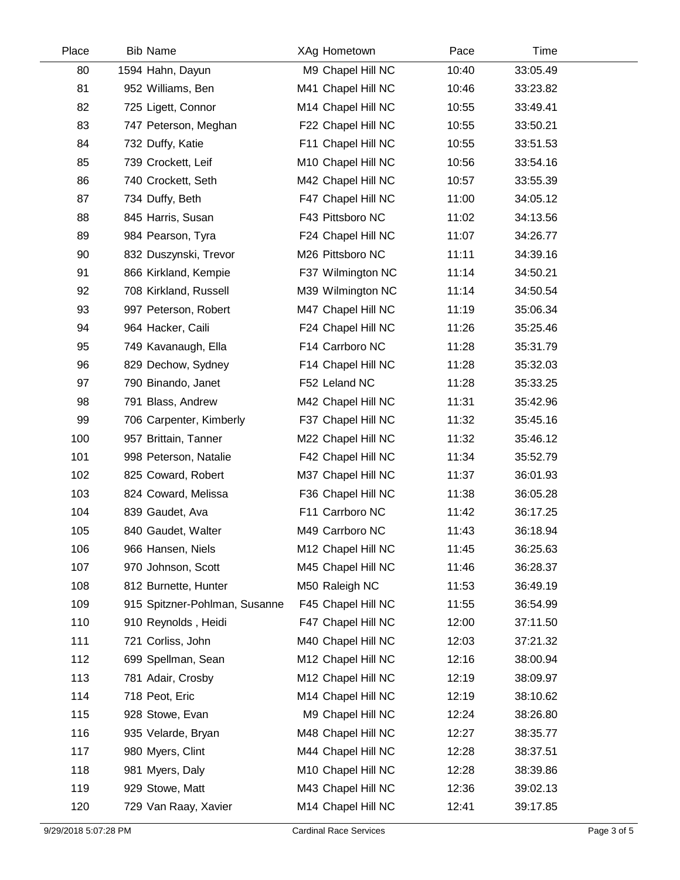| Place | <b>Bib Name</b>               | XAg Hometown       | Pace  | Time     |  |
|-------|-------------------------------|--------------------|-------|----------|--|
| 80    | 1594 Hahn, Dayun              | M9 Chapel Hill NC  | 10:40 | 33:05.49 |  |
| 81    | 952 Williams, Ben             | M41 Chapel Hill NC | 10:46 | 33:23.82 |  |
| 82    | 725 Ligett, Connor            | M14 Chapel Hill NC | 10:55 | 33:49.41 |  |
| 83    | 747 Peterson, Meghan          | F22 Chapel Hill NC | 10:55 | 33:50.21 |  |
| 84    | 732 Duffy, Katie              | F11 Chapel Hill NC | 10:55 | 33:51.53 |  |
| 85    | 739 Crockett, Leif            | M10 Chapel Hill NC | 10:56 | 33:54.16 |  |
| 86    | 740 Crockett, Seth            | M42 Chapel Hill NC | 10:57 | 33:55.39 |  |
| 87    | 734 Duffy, Beth               | F47 Chapel Hill NC | 11:00 | 34:05.12 |  |
| 88    | 845 Harris, Susan             | F43 Pittsboro NC   | 11:02 | 34:13.56 |  |
| 89    | 984 Pearson, Tyra             | F24 Chapel Hill NC | 11:07 | 34:26.77 |  |
| 90    | 832 Duszynski, Trevor         | M26 Pittsboro NC   | 11:11 | 34:39.16 |  |
| 91    | 866 Kirkland, Kempie          | F37 Wilmington NC  | 11:14 | 34:50.21 |  |
| 92    | 708 Kirkland, Russell         | M39 Wilmington NC  | 11:14 | 34:50.54 |  |
| 93    | 997 Peterson, Robert          | M47 Chapel Hill NC | 11:19 | 35:06.34 |  |
| 94    | 964 Hacker, Caili             | F24 Chapel Hill NC | 11:26 | 35:25.46 |  |
| 95    | 749 Kavanaugh, Ella           | F14 Carrboro NC    | 11:28 | 35:31.79 |  |
| 96    | 829 Dechow, Sydney            | F14 Chapel Hill NC | 11:28 | 35:32.03 |  |
| 97    | 790 Binando, Janet            | F52 Leland NC      | 11:28 | 35:33.25 |  |
| 98    | 791 Blass, Andrew             | M42 Chapel Hill NC | 11:31 | 35:42.96 |  |
| 99    | 706 Carpenter, Kimberly       | F37 Chapel Hill NC | 11:32 | 35:45.16 |  |
| 100   | 957 Brittain, Tanner          | M22 Chapel Hill NC | 11:32 | 35:46.12 |  |
| 101   | 998 Peterson, Natalie         | F42 Chapel Hill NC | 11:34 | 35:52.79 |  |
| 102   | 825 Coward, Robert            | M37 Chapel Hill NC | 11:37 | 36:01.93 |  |
| 103   | 824 Coward, Melissa           | F36 Chapel Hill NC | 11:38 | 36:05.28 |  |
| 104   | 839 Gaudet, Ava               | F11 Carrboro NC    | 11:42 | 36:17.25 |  |
| 105   | 840 Gaudet, Walter            | M49 Carrboro NC    | 11:43 | 36:18.94 |  |
| 106   | 966 Hansen, Niels             | M12 Chapel Hill NC | 11:45 | 36:25.63 |  |
| 107   | 970 Johnson, Scott            | M45 Chapel Hill NC | 11:46 | 36:28.37 |  |
| 108   | 812 Burnette, Hunter          | M50 Raleigh NC     | 11:53 | 36:49.19 |  |
| 109   | 915 Spitzner-Pohlman, Susanne | F45 Chapel Hill NC | 11:55 | 36:54.99 |  |
| 110   | 910 Reynolds, Heidi           | F47 Chapel Hill NC | 12:00 | 37:11.50 |  |
| 111   | 721 Corliss, John             | M40 Chapel Hill NC | 12:03 | 37:21.32 |  |
| 112   | 699 Spellman, Sean            | M12 Chapel Hill NC | 12:16 | 38:00.94 |  |
| 113   | 781 Adair, Crosby             | M12 Chapel Hill NC | 12:19 | 38:09.97 |  |
| 114   | 718 Peot, Eric                | M14 Chapel Hill NC | 12:19 | 38:10.62 |  |
| 115   | 928 Stowe, Evan               | M9 Chapel Hill NC  | 12:24 | 38:26.80 |  |
| 116   | 935 Velarde, Bryan            | M48 Chapel Hill NC | 12:27 | 38:35.77 |  |
| 117   | 980 Myers, Clint              | M44 Chapel Hill NC | 12:28 | 38:37.51 |  |
| 118   | 981 Myers, Daly               | M10 Chapel Hill NC | 12:28 | 38:39.86 |  |
| 119   | 929 Stowe, Matt               | M43 Chapel Hill NC | 12:36 | 39:02.13 |  |
| 120   | 729 Van Raay, Xavier          | M14 Chapel Hill NC | 12:41 | 39:17.85 |  |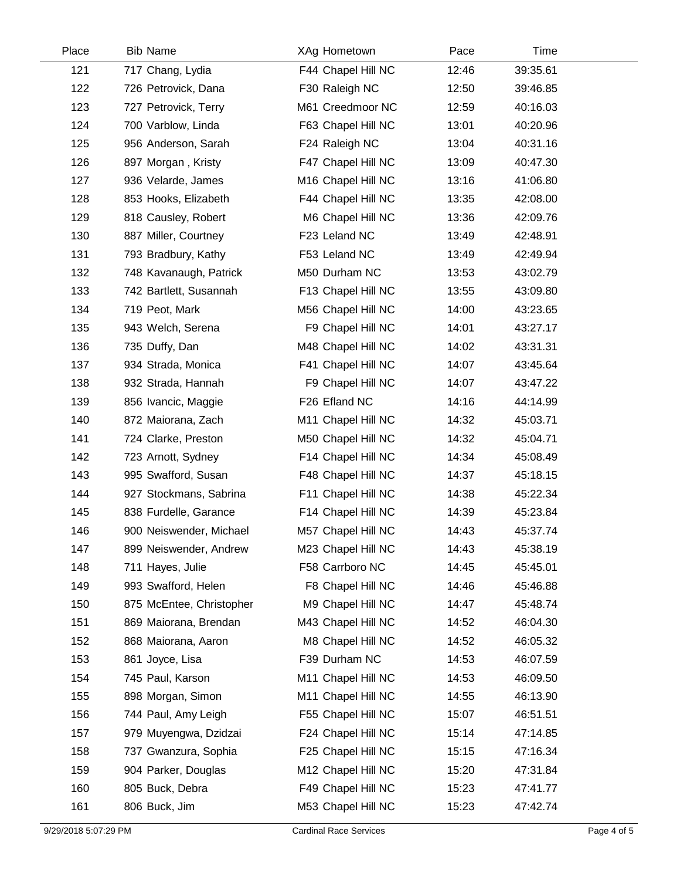| Place | <b>Bib Name</b>          | XAg Hometown       | Pace  | Time     |  |
|-------|--------------------------|--------------------|-------|----------|--|
| 121   | 717 Chang, Lydia         | F44 Chapel Hill NC | 12:46 | 39:35.61 |  |
| 122   | 726 Petrovick, Dana      | F30 Raleigh NC     | 12:50 | 39:46.85 |  |
| 123   | 727 Petrovick, Terry     | M61 Creedmoor NC   | 12:59 | 40:16.03 |  |
| 124   | 700 Varblow, Linda       | F63 Chapel Hill NC | 13:01 | 40:20.96 |  |
| 125   | 956 Anderson, Sarah      | F24 Raleigh NC     | 13:04 | 40:31.16 |  |
| 126   | 897 Morgan, Kristy       | F47 Chapel Hill NC | 13:09 | 40:47.30 |  |
| 127   | 936 Velarde, James       | M16 Chapel Hill NC | 13:16 | 41:06.80 |  |
| 128   | 853 Hooks, Elizabeth     | F44 Chapel Hill NC | 13:35 | 42:08.00 |  |
| 129   | 818 Causley, Robert      | M6 Chapel Hill NC  | 13:36 | 42:09.76 |  |
| 130   | 887 Miller, Courtney     | F23 Leland NC      | 13:49 | 42:48.91 |  |
| 131   | 793 Bradbury, Kathy      | F53 Leland NC      | 13:49 | 42:49.94 |  |
| 132   | 748 Kavanaugh, Patrick   | M50 Durham NC      | 13:53 | 43:02.79 |  |
| 133   | 742 Bartlett, Susannah   | F13 Chapel Hill NC | 13:55 | 43:09.80 |  |
| 134   | 719 Peot, Mark           | M56 Chapel Hill NC | 14:00 | 43:23.65 |  |
| 135   | 943 Welch, Serena        | F9 Chapel Hill NC  | 14:01 | 43:27.17 |  |
| 136   | 735 Duffy, Dan           | M48 Chapel Hill NC | 14:02 | 43:31.31 |  |
| 137   | 934 Strada, Monica       | F41 Chapel Hill NC | 14:07 | 43:45.64 |  |
| 138   | 932 Strada, Hannah       | F9 Chapel Hill NC  | 14:07 | 43:47.22 |  |
| 139   | 856 Ivancic, Maggie      | F26 Efland NC      | 14:16 | 44:14.99 |  |
| 140   | 872 Maiorana, Zach       | M11 Chapel Hill NC | 14:32 | 45:03.71 |  |
| 141   | 724 Clarke, Preston      | M50 Chapel Hill NC | 14:32 | 45:04.71 |  |
| 142   | 723 Arnott, Sydney       | F14 Chapel Hill NC | 14:34 | 45:08.49 |  |
| 143   | 995 Swafford, Susan      | F48 Chapel Hill NC | 14:37 | 45:18.15 |  |
| 144   | 927 Stockmans, Sabrina   | F11 Chapel Hill NC | 14:38 | 45:22.34 |  |
| 145   | 838 Furdelle, Garance    | F14 Chapel Hill NC | 14:39 | 45:23.84 |  |
| 146   | 900 Neiswender, Michael  | M57 Chapel Hill NC | 14:43 | 45:37.74 |  |
| 147   | 899 Neiswender, Andrew   | M23 Chapel Hill NC | 14:43 | 45:38.19 |  |
| 148   | 711 Hayes, Julie         | F58 Carrboro NC    | 14:45 | 45:45.01 |  |
| 149   | 993 Swafford, Helen      | F8 Chapel Hill NC  | 14:46 | 45:46.88 |  |
| 150   | 875 McEntee, Christopher | M9 Chapel Hill NC  | 14:47 | 45:48.74 |  |
| 151   | 869 Maiorana, Brendan    | M43 Chapel Hill NC | 14:52 | 46:04.30 |  |
| 152   | 868 Maiorana, Aaron      | M8 Chapel Hill NC  | 14:52 | 46:05.32 |  |
| 153   | 861 Joyce, Lisa          | F39 Durham NC      | 14:53 | 46:07.59 |  |
| 154   | 745 Paul, Karson         | M11 Chapel Hill NC | 14:53 | 46:09.50 |  |
| 155   | 898 Morgan, Simon        | M11 Chapel Hill NC | 14:55 | 46:13.90 |  |
| 156   | 744 Paul, Amy Leigh      | F55 Chapel Hill NC | 15:07 | 46:51.51 |  |
| 157   | 979 Muyengwa, Dzidzai    | F24 Chapel Hill NC | 15:14 | 47:14.85 |  |
| 158   | 737 Gwanzura, Sophia     | F25 Chapel Hill NC | 15:15 | 47:16.34 |  |
| 159   | 904 Parker, Douglas      | M12 Chapel Hill NC | 15:20 | 47:31.84 |  |
| 160   | 805 Buck, Debra          | F49 Chapel Hill NC | 15:23 | 47:41.77 |  |
| 161   | 806 Buck, Jim            | M53 Chapel Hill NC | 15:23 | 47:42.74 |  |